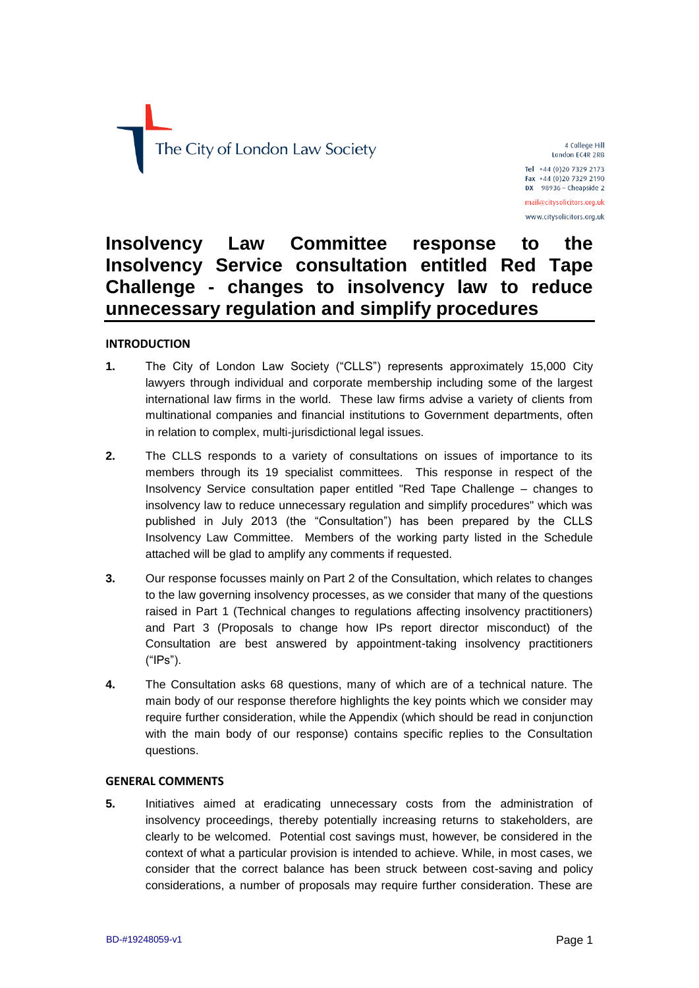

4 College Hill London EC4R 2RB Tel +44 (0)20 7329 2173 Fax +44 (0)20 7329 2190  $DX$  98936 - Cheapside 2 mail@citysolicitors.org.uk www.citysolicitors.org.uk

# **Insolvency Law Committee response to the Insolvency Service consultation entitled Red Tape Challenge - changes to insolvency law to reduce unnecessary regulation and simplify procedures**

#### **INTRODUCTION**

- **1.** The City of London Law Society ("CLLS") represents approximately 15,000 City lawyers through individual and corporate membership including some of the largest international law firms in the world. These law firms advise a variety of clients from multinational companies and financial institutions to Government departments, often in relation to complex, multi-jurisdictional legal issues.
- **2.** The CLLS responds to a variety of consultations on issues of importance to its members through its 19 specialist committees. This response in respect of the Insolvency Service consultation paper entitled "Red Tape Challenge – changes to insolvency law to reduce unnecessary regulation and simplify procedures" which was published in July 2013 (the "Consultation") has been prepared by the CLLS Insolvency Law Committee. Members of the working party listed in the Schedule attached will be glad to amplify any comments if requested.
- **3.** Our response focusses mainly on Part 2 of the Consultation, which relates to changes to the law governing insolvency processes, as we consider that many of the questions raised in Part 1 (Technical changes to regulations affecting insolvency practitioners) and Part 3 (Proposals to change how IPs report director misconduct) of the Consultation are best answered by appointment-taking insolvency practitioners ("IPs").
- **4.** The Consultation asks 68 questions, many of which are of a technical nature. The main body of our response therefore highlights the key points which we consider may require further consideration, while the Appendix (which should be read in conjunction with the main body of our response) contains specific replies to the Consultation questions.

#### **GENERAL COMMENTS**

**5.** Initiatives aimed at eradicating unnecessary costs from the administration of insolvency proceedings, thereby potentially increasing returns to stakeholders, are clearly to be welcomed. Potential cost savings must, however, be considered in the context of what a particular provision is intended to achieve. While, in most cases, we consider that the correct balance has been struck between cost-saving and policy considerations, a number of proposals may require further consideration. These are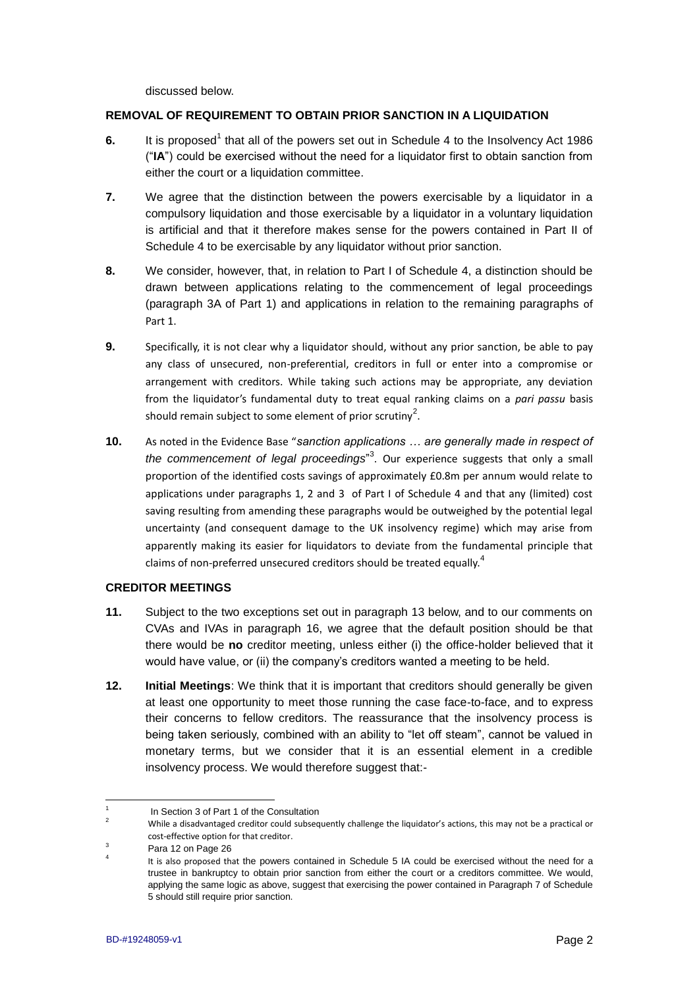discussed below.

#### **REMOVAL OF REQUIREMENT TO OBTAIN PRIOR SANCTION IN A LIQUIDATION**

- 6. It is proposed<sup>1</sup> that all of the powers set out in Schedule 4 to the Insolvency Act 1986 ("**IA**") could be exercised without the need for a liquidator first to obtain sanction from either the court or a liquidation committee.
- **7.** We agree that the distinction between the powers exercisable by a liquidator in a compulsory liquidation and those exercisable by a liquidator in a voluntary liquidation is artificial and that it therefore makes sense for the powers contained in Part II of Schedule 4 to be exercisable by any liquidator without prior sanction.
- **8.** We consider, however, that, in relation to Part I of Schedule 4, a distinction should be drawn between applications relating to the commencement of legal proceedings (paragraph 3A of Part 1) and applications in relation to the remaining paragraphs of Part 1.
- **9.** Specifically, it is not clear why a liquidator should, without any prior sanction, be able to pay any class of unsecured, non-preferential, creditors in full or enter into a compromise or arrangement with creditors. While taking such actions may be appropriate, any deviation from the liquidator's fundamental duty to treat equal ranking claims on a *pari passu* basis should remain subject to some element of prior scrutiny<sup>2</sup>.
- **10.** As noted in the Evidence Base "*sanction applications … are generally made in respect of the commencement of legal proceedings*" 3 . Our experience suggests that only a small proportion of the identified costs savings of approximately £0.8m per annum would relate to applications under paragraphs 1, 2 and 3 of Part I of Schedule 4 and that any (limited) cost saving resulting from amending these paragraphs would be outweighed by the potential legal uncertainty (and consequent damage to the UK insolvency regime) which may arise from apparently making its easier for liquidators to deviate from the fundamental principle that claims of non-preferred unsecured creditors should be treated equally.<sup>4</sup>

#### **CREDITOR MEETINGS**

- **11.** Subject to the two exceptions set out in paragraph 13 below, and to our comments on CVAs and IVAs in paragraph 16, we agree that the default position should be that there would be **no** creditor meeting, unless either (i) the office-holder believed that it would have value, or (ii) the company's creditors wanted a meeting to be held.
- **12. Initial Meetings**: We think that it is important that creditors should generally be given at least one opportunity to meet those running the case face-to-face, and to express their concerns to fellow creditors. The reassurance that the insolvency process is being taken seriously, combined with an ability to "let off steam", cannot be valued in monetary terms, but we consider that it is an essential element in a credible insolvency process. We would therefore suggest that:-

<sup>&</sup>lt;u>.</u> 1 In Section 3 of Part 1 of the Consultation

<sup>2&</sup>lt;br>While a disadvantaged creditor could subsequently challenge the liquidator's actions, this may not be a practical or cost-effective option for that creditor.

 $3$  Para 12 on Page 26

<sup>4</sup> It is also proposed that the powers contained in Schedule 5 IA could be exercised without the need for a trustee in bankruptcy to obtain prior sanction from either the court or a creditors committee. We would, applying the same logic as above, suggest that exercising the power contained in Paragraph 7 of Schedule 5 should still require prior sanction.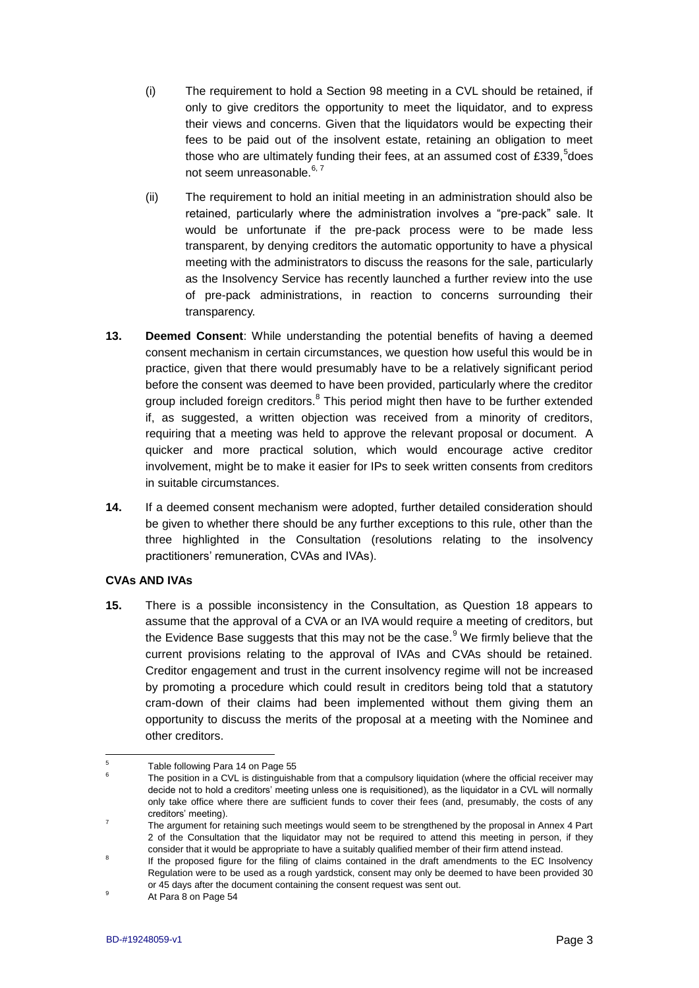- (i) The requirement to hold a Section 98 meeting in a CVL should be retained, if only to give creditors the opportunity to meet the liquidator, and to express their views and concerns. Given that the liquidators would be expecting their fees to be paid out of the insolvent estate, retaining an obligation to meet those who are ultimately funding their fees, at an assumed cost of £339,<sup>5</sup>does not seem unreasonable.<sup>6, 7</sup>
- (ii) The requirement to hold an initial meeting in an administration should also be retained, particularly where the administration involves a "pre-pack" sale. It would be unfortunate if the pre-pack process were to be made less transparent, by denying creditors the automatic opportunity to have a physical meeting with the administrators to discuss the reasons for the sale, particularly as the Insolvency Service has recently launched a further review into the use of pre-pack administrations, in reaction to concerns surrounding their transparency.
- **13. Deemed Consent**: While understanding the potential benefits of having a deemed consent mechanism in certain circumstances, we question how useful this would be in practice, given that there would presumably have to be a relatively significant period before the consent was deemed to have been provided, particularly where the creditor group included foreign creditors.<sup>8</sup> This period might then have to be further extended if, as suggested, a written objection was received from a minority of creditors, requiring that a meeting was held to approve the relevant proposal or document. A quicker and more practical solution, which would encourage active creditor involvement, might be to make it easier for IPs to seek written consents from creditors in suitable circumstances.
- **14.** If a deemed consent mechanism were adopted, further detailed consideration should be given to whether there should be any further exceptions to this rule, other than the three highlighted in the Consultation (resolutions relating to the insolvency practitioners' remuneration, CVAs and IVAs).

#### **CVAs AND IVAs**

**15.** There is a possible inconsistency in the Consultation, as Question 18 appears to assume that the approval of a CVA or an IVA would require a meeting of creditors, but the Evidence Base suggests that this may not be the case. $9$  We firmly believe that the current provisions relating to the approval of IVAs and CVAs should be retained. Creditor engagement and trust in the current insolvency regime will not be increased by promoting a procedure which could result in creditors being told that a statutory cram-down of their claims had been implemented without them giving them an opportunity to discuss the merits of the proposal at a meeting with the Nominee and other creditors.

<sup>1</sup> 5 Table following Para 14 on Page 55

<sup>6</sup> The position in a CVL is distinguishable from that a compulsory liquidation (where the official receiver may decide not to hold a creditors' meeting unless one is requisitioned), as the liquidator in a CVL will normally only take office where there are sufficient funds to cover their fees (and, presumably, the costs of any creditors' meeting).

<sup>7</sup> The argument for retaining such meetings would seem to be strengthened by the proposal in Annex 4 Part 2 of the Consultation that the liquidator may not be required to attend this meeting in person, if they consider that it would be appropriate to have a suitably qualified member of their firm attend instead.

<sup>8</sup> If the proposed figure for the filing of claims contained in the draft amendments to the EC Insolvency Regulation were to be used as a rough yardstick, consent may only be deemed to have been provided 30 or 45 days after the document containing the consent request was sent out.

At Para 8 on Page 54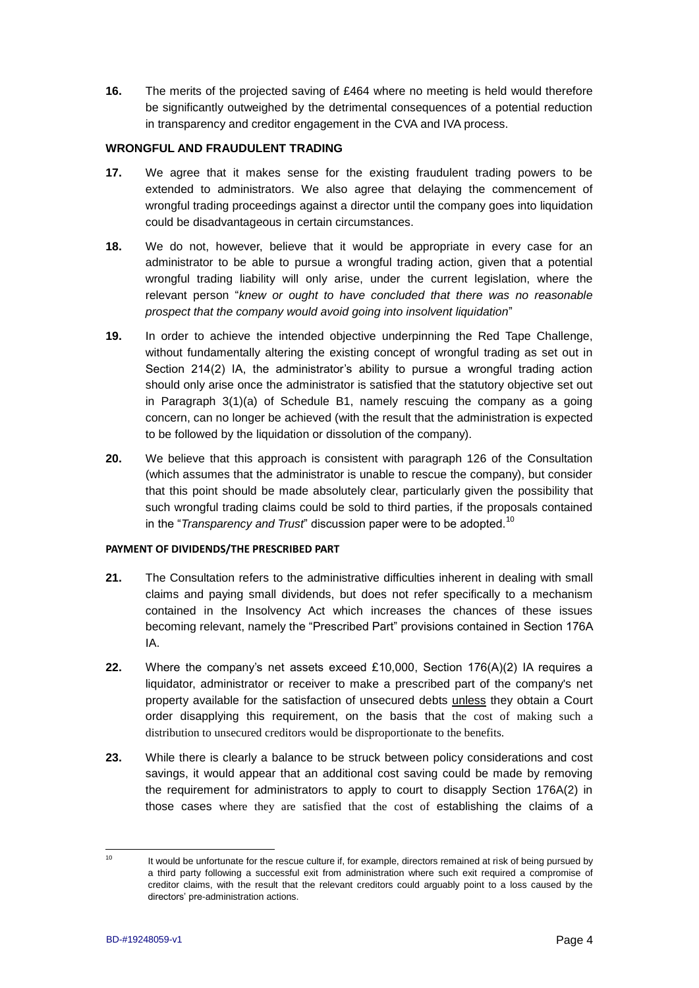**16.** The merits of the projected saving of £464 where no meeting is held would therefore be significantly outweighed by the detrimental consequences of a potential reduction in transparency and creditor engagement in the CVA and IVA process.

#### **WRONGFUL AND FRAUDULENT TRADING**

- **17.** We agree that it makes sense for the existing fraudulent trading powers to be extended to administrators. We also agree that delaying the commencement of wrongful trading proceedings against a director until the company goes into liquidation could be disadvantageous in certain circumstances.
- **18.** We do not, however, believe that it would be appropriate in every case for an administrator to be able to pursue a wrongful trading action, given that a potential wrongful trading liability will only arise, under the current legislation, where the relevant person "*knew or ought to have concluded that there was no reasonable prospect that the company would avoid going into insolvent liquidation*"
- **19.** In order to achieve the intended objective underpinning the Red Tape Challenge, without fundamentally altering the existing concept of wrongful trading as set out in Section 214(2) IA, the administrator's ability to pursue a wrongful trading action should only arise once the administrator is satisfied that the statutory objective set out in Paragraph 3(1)(a) of Schedule B1, namely rescuing the company as a going concern, can no longer be achieved (with the result that the administration is expected to be followed by the liquidation or dissolution of the company).
- **20.** We believe that this approach is consistent with paragraph 126 of the Consultation (which assumes that the administrator is unable to rescue the company), but consider that this point should be made absolutely clear, particularly given the possibility that such wrongful trading claims could be sold to third parties, if the proposals contained in the "*Transparency and Trust*" discussion paper were to be adopted.<sup>10</sup>

#### **PAYMENT OF DIVIDENDS/THE PRESCRIBED PART**

- **21.** The Consultation refers to the administrative difficulties inherent in dealing with small claims and paying small dividends, but does not refer specifically to a mechanism contained in the Insolvency Act which increases the chances of these issues becoming relevant, namely the "Prescribed Part" provisions contained in Section 176A IA.
- **22.** Where the company's net assets exceed £10,000, Section 176(A)(2) IA requires a liquidator, administrator or receiver to make a prescribed part of the company's net property available for the satisfaction of unsecured debts unless they obtain a Court order disapplying this requirement, on the basis that the cost of making such a distribution to unsecured creditors would be disproportionate to the benefits.
- **23.** While there is clearly a balance to be struck between policy considerations and cost savings, it would appear that an additional cost saving could be made by removing the requirement for administrators to apply to court to disapply Section 176A(2) in those cases where they are satisfied that the cost of establishing the claims of a

 $10<sup>10</sup>$ It would be unfortunate for the rescue culture if, for example, directors remained at risk of being pursued by a third party following a successful exit from administration where such exit required a compromise of creditor claims, with the result that the relevant creditors could arguably point to a loss caused by the directors' pre-administration actions.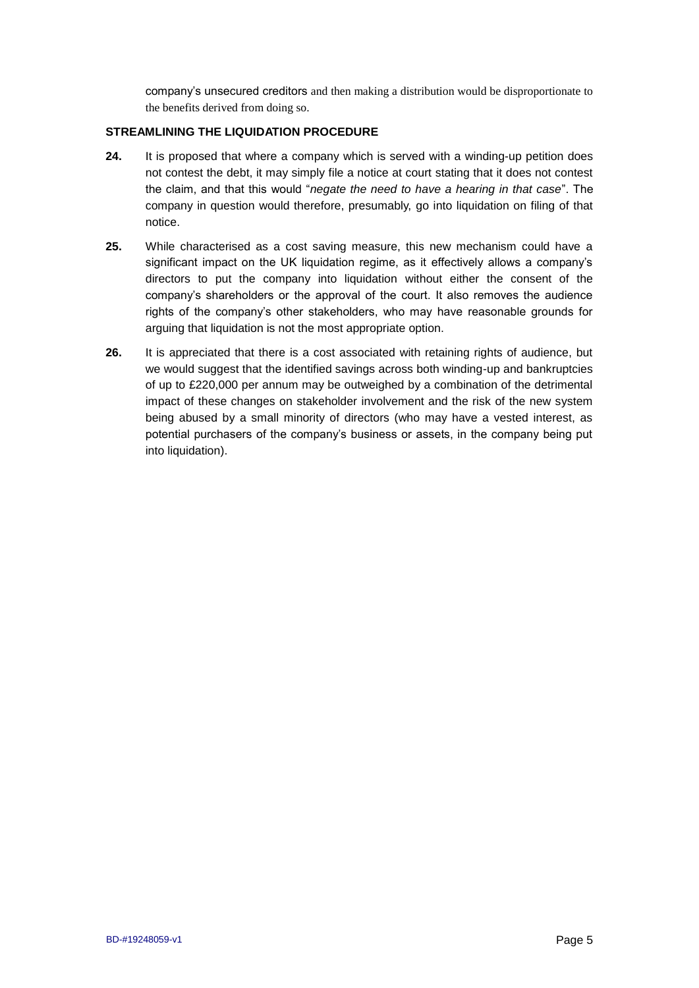company's unsecured creditors and then making a distribution would be disproportionate to the benefits derived from doing so.

#### **STREAMLINING THE LIQUIDATION PROCEDURE**

- **24.** It is proposed that where a company which is served with a winding-up petition does not contest the debt, it may simply file a notice at court stating that it does not contest the claim, and that this would "*negate the need to have a hearing in that case*". The company in question would therefore, presumably, go into liquidation on filing of that notice.
- **25.** While characterised as a cost saving measure, this new mechanism could have a significant impact on the UK liquidation regime, as it effectively allows a company's directors to put the company into liquidation without either the consent of the company's shareholders or the approval of the court. It also removes the audience rights of the company's other stakeholders, who may have reasonable grounds for arguing that liquidation is not the most appropriate option.
- **26.** It is appreciated that there is a cost associated with retaining rights of audience, but we would suggest that the identified savings across both winding-up and bankruptcies of up to £220,000 per annum may be outweighed by a combination of the detrimental impact of these changes on stakeholder involvement and the risk of the new system being abused by a small minority of directors (who may have a vested interest, as potential purchasers of the company's business or assets, in the company being put into liquidation).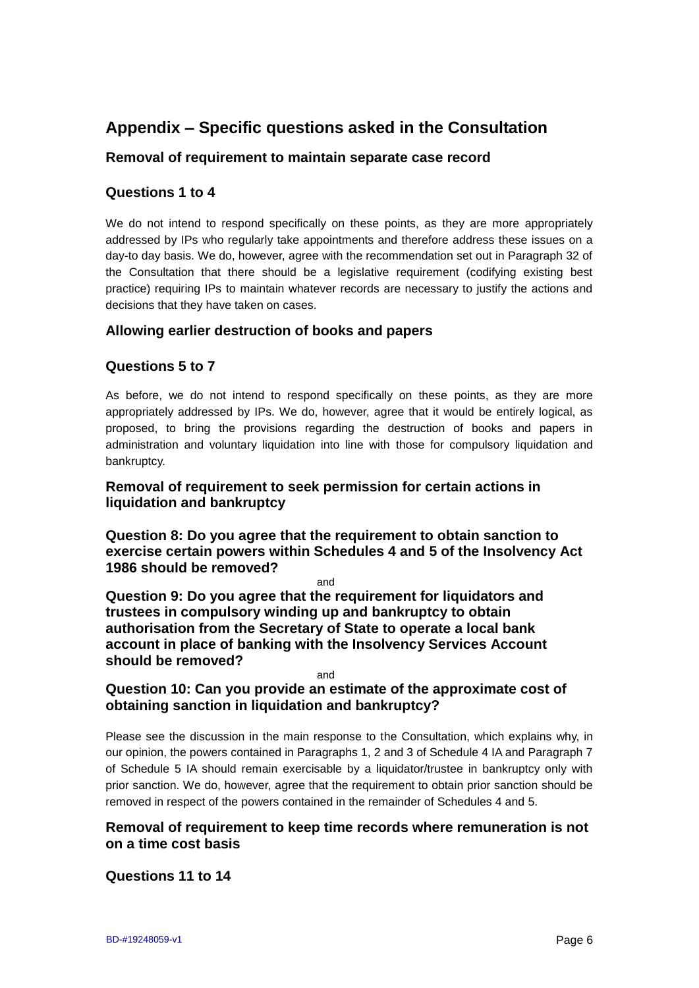# **Appendix – Specific questions asked in the Consultation**

# **Removal of requirement to maintain separate case record**

#### **Questions 1 to 4**

We do not intend to respond specifically on these points, as they are more appropriately addressed by IPs who regularly take appointments and therefore address these issues on a day-to day basis. We do, however, agree with the recommendation set out in Paragraph 32 of the Consultation that there should be a legislative requirement (codifying existing best practice) requiring IPs to maintain whatever records are necessary to justify the actions and decisions that they have taken on cases.

#### **Allowing earlier destruction of books and papers**

#### **Questions 5 to 7**

As before, we do not intend to respond specifically on these points, as they are more appropriately addressed by IPs. We do, however, agree that it would be entirely logical, as proposed, to bring the provisions regarding the destruction of books and papers in administration and voluntary liquidation into line with those for compulsory liquidation and bankruptcy.

#### **Removal of requirement to seek permission for certain actions in liquidation and bankruptcy**

**Question 8: Do you agree that the requirement to obtain sanction to exercise certain powers within Schedules 4 and 5 of the Insolvency Act 1986 should be removed?**

and

**Question 9: Do you agree that the requirement for liquidators and trustees in compulsory winding up and bankruptcy to obtain authorisation from the Secretary of State to operate a local bank account in place of banking with the Insolvency Services Account should be removed?**

and

#### **Question 10: Can you provide an estimate of the approximate cost of obtaining sanction in liquidation and bankruptcy?**

Please see the discussion in the main response to the Consultation, which explains why, in our opinion, the powers contained in Paragraphs 1, 2 and 3 of Schedule 4 IA and Paragraph 7 of Schedule 5 IA should remain exercisable by a liquidator/trustee in bankruptcy only with prior sanction. We do, however, agree that the requirement to obtain prior sanction should be removed in respect of the powers contained in the remainder of Schedules 4 and 5.

## **Removal of requirement to keep time records where remuneration is not on a time cost basis**

## **Questions 11 to 14**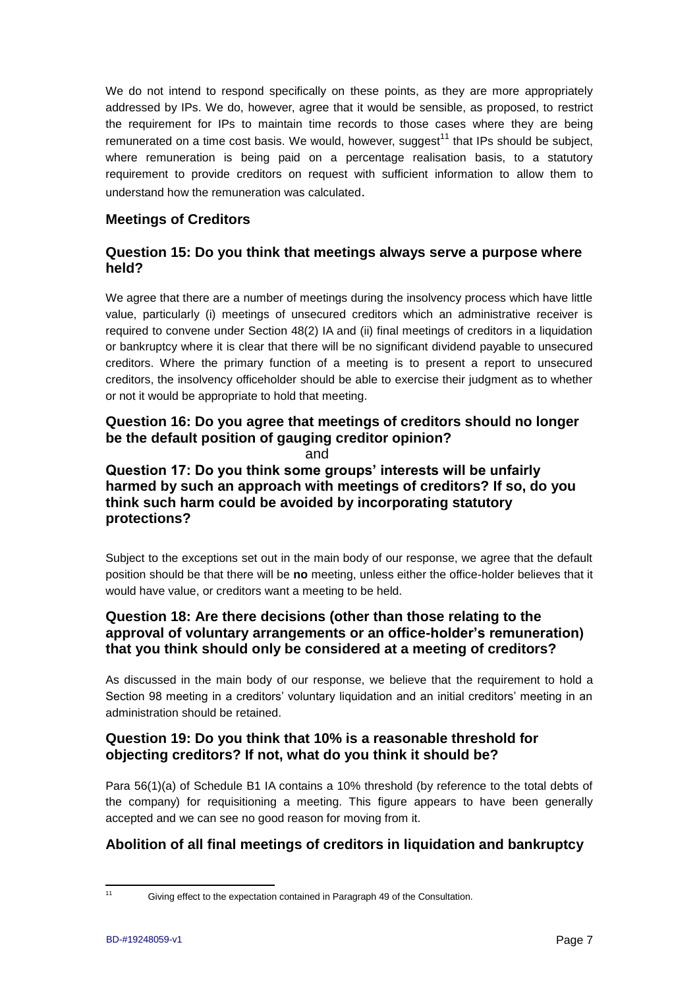We do not intend to respond specifically on these points, as they are more appropriately addressed by IPs. We do, however, agree that it would be sensible, as proposed, to restrict the requirement for IPs to maintain time records to those cases where they are being remunerated on a time cost basis. We would, however, suggest<sup>11</sup> that IPs should be subject, where remuneration is being paid on a percentage realisation basis, to a statutory requirement to provide creditors on request with sufficient information to allow them to understand how the remuneration was calculated.

## **Meetings of Creditors**

#### **Question 15: Do you think that meetings always serve a purpose where held?**

We agree that there are a number of meetings during the insolvency process which have little value, particularly (i) meetings of unsecured creditors which an administrative receiver is required to convene under Section 48(2) IA and (ii) final meetings of creditors in a liquidation or bankruptcy where it is clear that there will be no significant dividend payable to unsecured creditors. Where the primary function of a meeting is to present a report to unsecured creditors, the insolvency officeholder should be able to exercise their judgment as to whether or not it would be appropriate to hold that meeting.

## **Question 16: Do you agree that meetings of creditors should no longer be the default position of gauging creditor opinion?**

and

**Question 17: Do you think some groups' interests will be unfairly harmed by such an approach with meetings of creditors? If so, do you think such harm could be avoided by incorporating statutory protections?**

Subject to the exceptions set out in the main body of our response, we agree that the default position should be that there will be **no** meeting, unless either the office-holder believes that it would have value, or creditors want a meeting to be held.

# **Question 18: Are there decisions (other than those relating to the approval of voluntary arrangements or an office-holder's remuneration) that you think should only be considered at a meeting of creditors?**

As discussed in the main body of our response, we believe that the requirement to hold a Section 98 meeting in a creditors' voluntary liquidation and an initial creditors' meeting in an administration should be retained.

## **Question 19: Do you think that 10% is a reasonable threshold for objecting creditors? If not, what do you think it should be?**

Para 56(1)(a) of Schedule B1 IA contains a 10% threshold (by reference to the total debts of the company) for requisitioning a meeting. This figure appears to have been generally accepted and we can see no good reason for moving from it.

# **Abolition of all final meetings of creditors in liquidation and bankruptcy**

 $11$ 

Giving effect to the expectation contained in Paragraph 49 of the Consultation.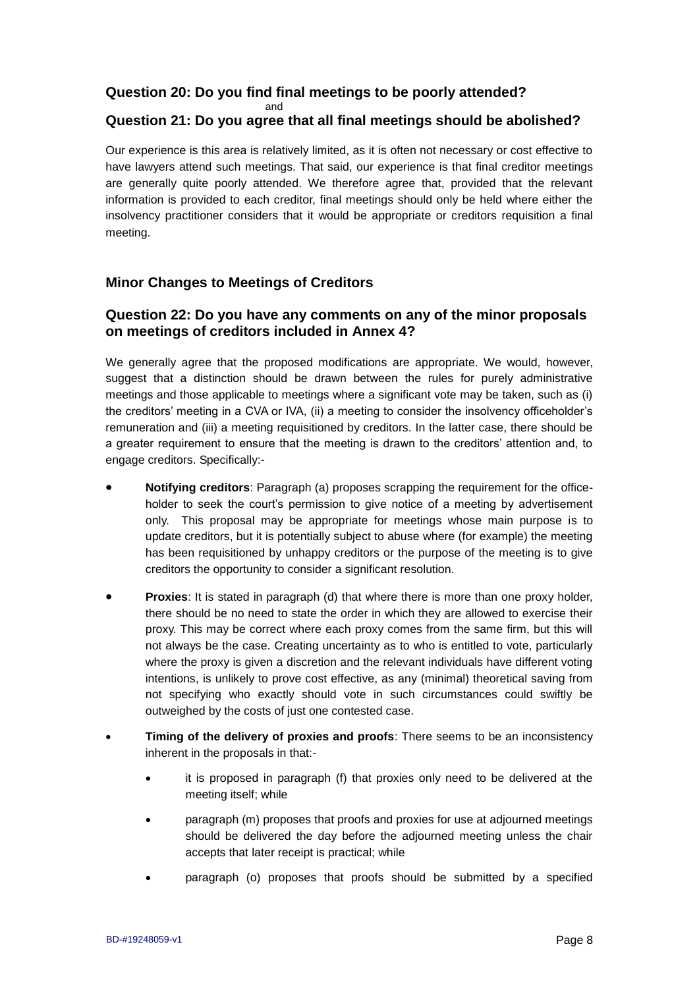#### **Question 20: Do you find final meetings to be poorly attended?**

and

## **Question 21: Do you agree that all final meetings should be abolished?**

Our experience is this area is relatively limited, as it is often not necessary or cost effective to have lawyers attend such meetings. That said, our experience is that final creditor meetings are generally quite poorly attended. We therefore agree that, provided that the relevant information is provided to each creditor, final meetings should only be held where either the insolvency practitioner considers that it would be appropriate or creditors requisition a final meeting.

#### **Minor Changes to Meetings of Creditors**

#### **Question 22: Do you have any comments on any of the minor proposals on meetings of creditors included in Annex 4?**

We generally agree that the proposed modifications are appropriate. We would, however, suggest that a distinction should be drawn between the rules for purely administrative meetings and those applicable to meetings where a significant vote may be taken, such as (i) the creditors' meeting in a CVA or IVA, (ii) a meeting to consider the insolvency officeholder's remuneration and (iii) a meeting requisitioned by creditors. In the latter case, there should be a greater requirement to ensure that the meeting is drawn to the creditors' attention and, to engage creditors. Specifically:-

- **Notifying creditors**: Paragraph (a) proposes scrapping the requirement for the officeholder to seek the court's permission to give notice of a meeting by advertisement only. This proposal may be appropriate for meetings whose main purpose is to update creditors, but it is potentially subject to abuse where (for example) the meeting has been requisitioned by unhappy creditors or the purpose of the meeting is to give creditors the opportunity to consider a significant resolution.
- **Proxies**: It is stated in paragraph (d) that where there is more than one proxy holder, there should be no need to state the order in which they are allowed to exercise their proxy. This may be correct where each proxy comes from the same firm, but this will not always be the case. Creating uncertainty as to who is entitled to vote, particularly where the proxy is given a discretion and the relevant individuals have different voting intentions, is unlikely to prove cost effective, as any (minimal) theoretical saving from not specifying who exactly should vote in such circumstances could swiftly be outweighed by the costs of just one contested case.
- **Timing of the delivery of proxies and proofs**: There seems to be an inconsistency inherent in the proposals in that:
	- it is proposed in paragraph (f) that proxies only need to be delivered at the meeting itself; while
	- paragraph (m) proposes that proofs and proxies for use at adjourned meetings should be delivered the day before the adjourned meeting unless the chair accepts that later receipt is practical; while
	- paragraph (o) proposes that proofs should be submitted by a specified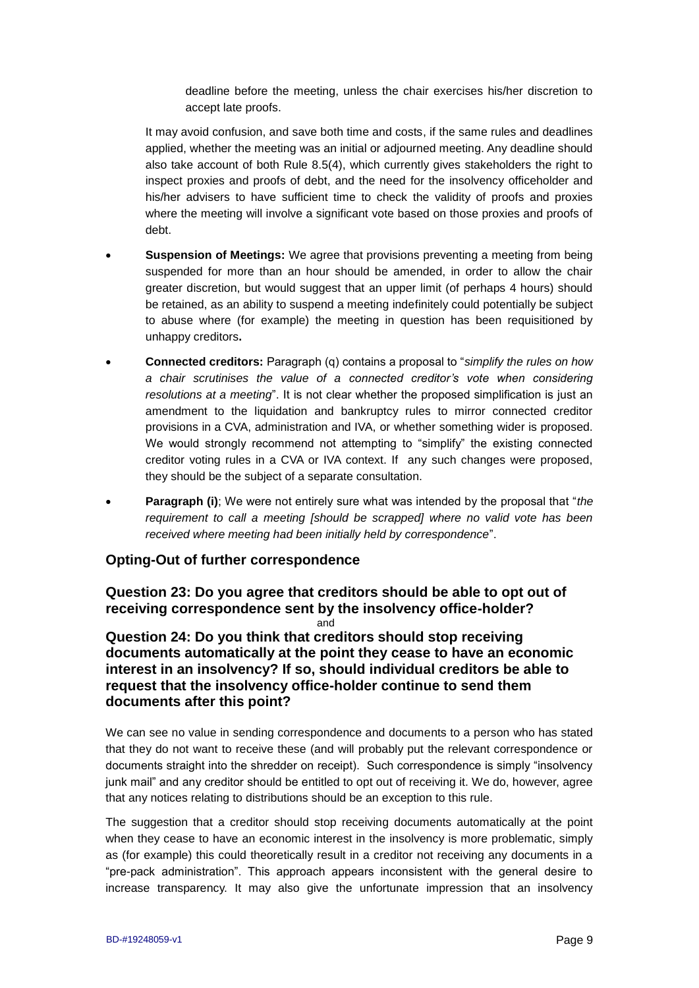deadline before the meeting, unless the chair exercises his/her discretion to accept late proofs.

It may avoid confusion, and save both time and costs, if the same rules and deadlines applied, whether the meeting was an initial or adjourned meeting. Any deadline should also take account of both Rule 8.5(4), which currently gives stakeholders the right to inspect proxies and proofs of debt, and the need for the insolvency officeholder and his/her advisers to have sufficient time to check the validity of proofs and proxies where the meeting will involve a significant vote based on those proxies and proofs of debt.

- **Suspension of Meetings:** We agree that provisions preventing a meeting from being suspended for more than an hour should be amended, in order to allow the chair greater discretion, but would suggest that an upper limit (of perhaps 4 hours) should be retained, as an ability to suspend a meeting indefinitely could potentially be subject to abuse where (for example) the meeting in question has been requisitioned by unhappy creditors**.**
- **Connected creditors:** Paragraph (q) contains a proposal to "*simplify the rules on how a chair scrutinises the value of a connected creditor's vote when considering resolutions at a meeting*". It is not clear whether the proposed simplification is just an amendment to the liquidation and bankruptcy rules to mirror connected creditor provisions in a CVA, administration and IVA, or whether something wider is proposed. We would strongly recommend not attempting to "simplify" the existing connected creditor voting rules in a CVA or IVA context. If any such changes were proposed, they should be the subject of a separate consultation.
- **Paragraph (i)**; We were not entirely sure what was intended by the proposal that "*the requirement to call a meeting [should be scrapped] where no valid vote has been received where meeting had been initially held by correspondence*".

#### **Opting-Out of further correspondence**

**Question 23: Do you agree that creditors should be able to opt out of receiving correspondence sent by the insolvency office-holder?**

and

**Question 24: Do you think that creditors should stop receiving documents automatically at the point they cease to have an economic interest in an insolvency? If so, should individual creditors be able to request that the insolvency office-holder continue to send them documents after this point?**

We can see no value in sending correspondence and documents to a person who has stated that they do not want to receive these (and will probably put the relevant correspondence or documents straight into the shredder on receipt). Such correspondence is simply "insolvency junk mail" and any creditor should be entitled to opt out of receiving it. We do, however, agree that any notices relating to distributions should be an exception to this rule.

The suggestion that a creditor should stop receiving documents automatically at the point when they cease to have an economic interest in the insolvency is more problematic, simply as (for example) this could theoretically result in a creditor not receiving any documents in a "pre-pack administration". This approach appears inconsistent with the general desire to increase transparency. It may also give the unfortunate impression that an insolvency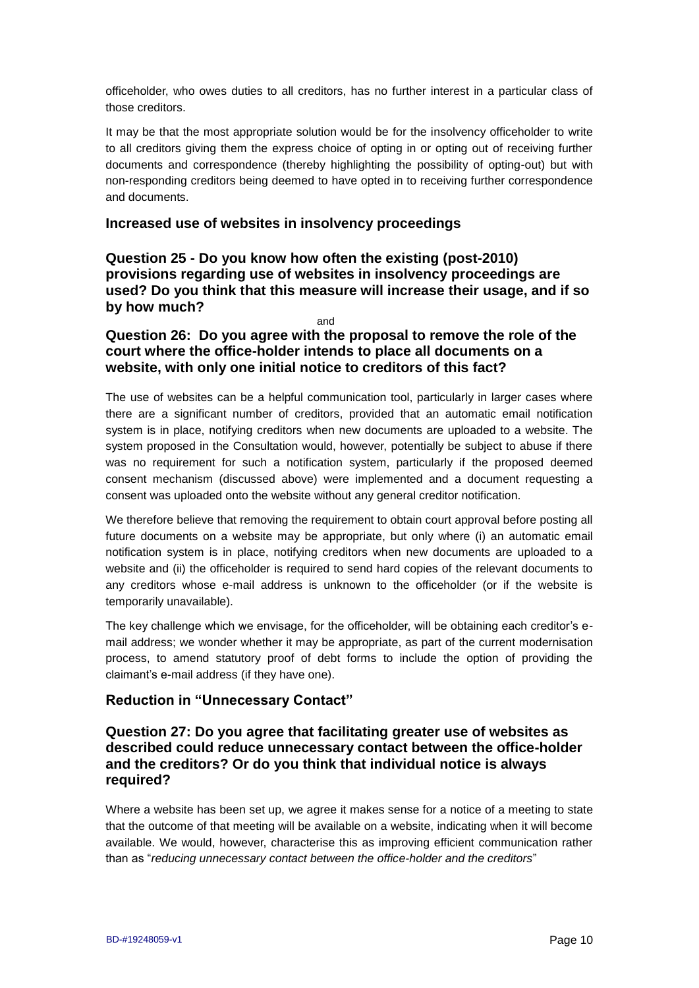officeholder, who owes duties to all creditors, has no further interest in a particular class of those creditors.

It may be that the most appropriate solution would be for the insolvency officeholder to write to all creditors giving them the express choice of opting in or opting out of receiving further documents and correspondence (thereby highlighting the possibility of opting-out) but with non-responding creditors being deemed to have opted in to receiving further correspondence and documents.

#### **Increased use of websites in insolvency proceedings**

**Question 25 - Do you know how often the existing (post-2010) provisions regarding use of websites in insolvency proceedings are used? Do you think that this measure will increase their usage, and if so by how much?** 

and

#### **Question 26: Do you agree with the proposal to remove the role of the court where the office-holder intends to place all documents on a website, with only one initial notice to creditors of this fact?**

The use of websites can be a helpful communication tool, particularly in larger cases where there are a significant number of creditors, provided that an automatic email notification system is in place, notifying creditors when new documents are uploaded to a website. The system proposed in the Consultation would, however, potentially be subject to abuse if there was no requirement for such a notification system, particularly if the proposed deemed consent mechanism (discussed above) were implemented and a document requesting a consent was uploaded onto the website without any general creditor notification.

We therefore believe that removing the requirement to obtain court approval before posting all future documents on a website may be appropriate, but only where (i) an automatic email notification system is in place, notifying creditors when new documents are uploaded to a website and (ii) the officeholder is required to send hard copies of the relevant documents to any creditors whose e-mail address is unknown to the officeholder (or if the website is temporarily unavailable).

The key challenge which we envisage, for the officeholder, will be obtaining each creditor's email address; we wonder whether it may be appropriate, as part of the current modernisation process, to amend statutory proof of debt forms to include the option of providing the claimant's e-mail address (if they have one).

#### **Reduction in "Unnecessary Contact"**

#### **Question 27: Do you agree that facilitating greater use of websites as described could reduce unnecessary contact between the office-holder and the creditors? Or do you think that individual notice is always required?**

Where a website has been set up, we agree it makes sense for a notice of a meeting to state that the outcome of that meeting will be available on a website, indicating when it will become available. We would, however, characterise this as improving efficient communication rather than as "*reducing unnecessary contact between the office-holder and the creditors*"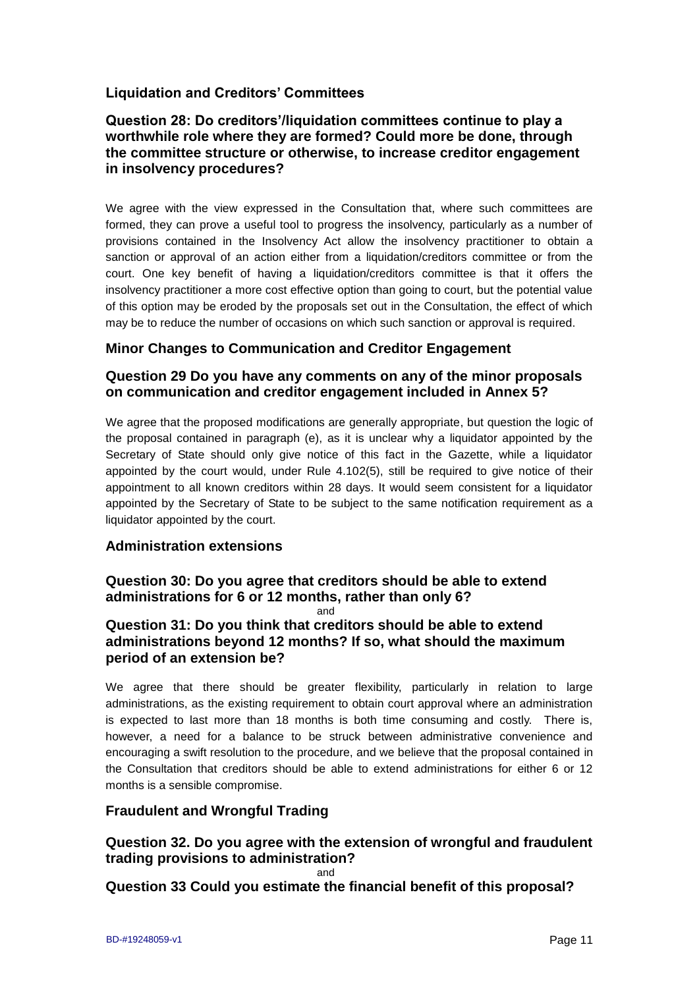# **Liquidation and Creditors' Committees**

#### **Question 28: Do creditors'/liquidation committees continue to play a worthwhile role where they are formed? Could more be done, through the committee structure or otherwise, to increase creditor engagement in insolvency procedures?**

We agree with the view expressed in the Consultation that, where such committees are formed, they can prove a useful tool to progress the insolvency, particularly as a number of provisions contained in the Insolvency Act allow the insolvency practitioner to obtain a sanction or approval of an action either from a liquidation/creditors committee or from the court. One key benefit of having a liquidation/creditors committee is that it offers the insolvency practitioner a more cost effective option than going to court, but the potential value of this option may be eroded by the proposals set out in the Consultation, the effect of which may be to reduce the number of occasions on which such sanction or approval is required.

#### **Minor Changes to Communication and Creditor Engagement**

#### **Question 29 Do you have any comments on any of the minor proposals on communication and creditor engagement included in Annex 5?**

We agree that the proposed modifications are generally appropriate, but question the logic of the proposal contained in paragraph (e), as it is unclear why a liquidator appointed by the Secretary of State should only give notice of this fact in the Gazette, while a liquidator appointed by the court would, under Rule 4.102(5), still be required to give notice of their appointment to all known creditors within 28 days. It would seem consistent for a liquidator appointed by the Secretary of State to be subject to the same notification requirement as a liquidator appointed by the court.

#### **Administration extensions**

# **Question 30: Do you agree that creditors should be able to extend administrations for 6 or 12 months, rather than only 6?**

and

## **Question 31: Do you think that creditors should be able to extend administrations beyond 12 months? If so, what should the maximum period of an extension be?**

We agree that there should be greater flexibility, particularly in relation to large administrations, as the existing requirement to obtain court approval where an administration is expected to last more than 18 months is both time consuming and costly. There is, however, a need for a balance to be struck between administrative convenience and encouraging a swift resolution to the procedure, and we believe that the proposal contained in the Consultation that creditors should be able to extend administrations for either 6 or 12 months is a sensible compromise.

## **Fraudulent and Wrongful Trading**

# **Question 32. Do you agree with the extension of wrongful and fraudulent trading provisions to administration?**

and

**Question 33 Could you estimate the financial benefit of this proposal?**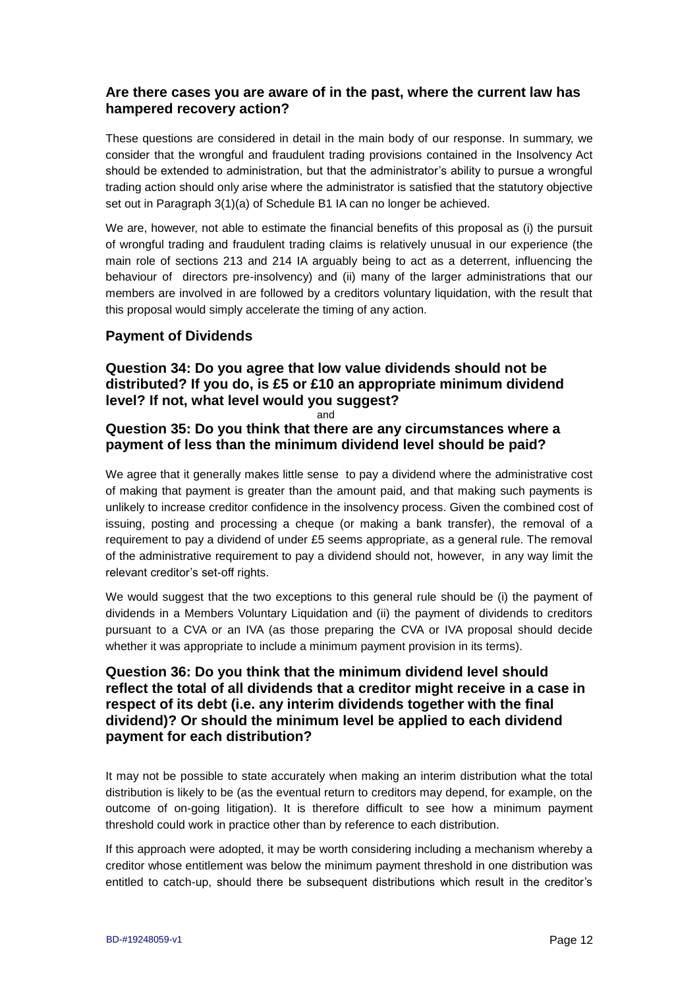#### **Are there cases you are aware of in the past, where the current law has hampered recovery action?**

These questions are considered in detail in the main body of our response. In summary, we consider that the wrongful and fraudulent trading provisions contained in the Insolvency Act should be extended to administration, but that the administrator's ability to pursue a wrongful trading action should only arise where the administrator is satisfied that the statutory objective set out in Paragraph 3(1)(a) of Schedule B1 IA can no longer be achieved.

We are, however, not able to estimate the financial benefits of this proposal as (i) the pursuit of wrongful trading and fraudulent trading claims is relatively unusual in our experience (the main role of sections 213 and 214 IA arguably being to act as a deterrent, influencing the behaviour of directors pre-insolvency) and (ii) many of the larger administrations that our members are involved in are followed by a creditors voluntary liquidation, with the result that this proposal would simply accelerate the timing of any action.

## **Payment of Dividends**

## **Question 34: Do you agree that low value dividends should not be distributed? If you do, is £5 or £10 an appropriate minimum dividend level? If not, what level would you suggest?**

and

#### **Question 35: Do you think that there are any circumstances where a payment of less than the minimum dividend level should be paid?**

We agree that it generally makes little sense to pay a dividend where the administrative cost of making that payment is greater than the amount paid, and that making such payments is unlikely to increase creditor confidence in the insolvency process. Given the combined cost of issuing, posting and processing a cheque (or making a bank transfer), the removal of a requirement to pay a dividend of under £5 seems appropriate, as a general rule. The removal of the administrative requirement to pay a dividend should not, however, in any way limit the relevant creditor's set-off rights.

We would suggest that the two exceptions to this general rule should be (i) the payment of dividends in a Members Voluntary Liquidation and (ii) the payment of dividends to creditors pursuant to a CVA or an IVA (as those preparing the CVA or IVA proposal should decide whether it was appropriate to include a minimum payment provision in its terms).

## **Question 36: Do you think that the minimum dividend level should reflect the total of all dividends that a creditor might receive in a case in respect of its debt (i.e. any interim dividends together with the final dividend)? Or should the minimum level be applied to each dividend payment for each distribution?**

It may not be possible to state accurately when making an interim distribution what the total distribution is likely to be (as the eventual return to creditors may depend, for example, on the outcome of on-going litigation). It is therefore difficult to see how a minimum payment threshold could work in practice other than by reference to each distribution.

If this approach were adopted, it may be worth considering including a mechanism whereby a creditor whose entitlement was below the minimum payment threshold in one distribution was entitled to catch-up, should there be subsequent distributions which result in the creditor's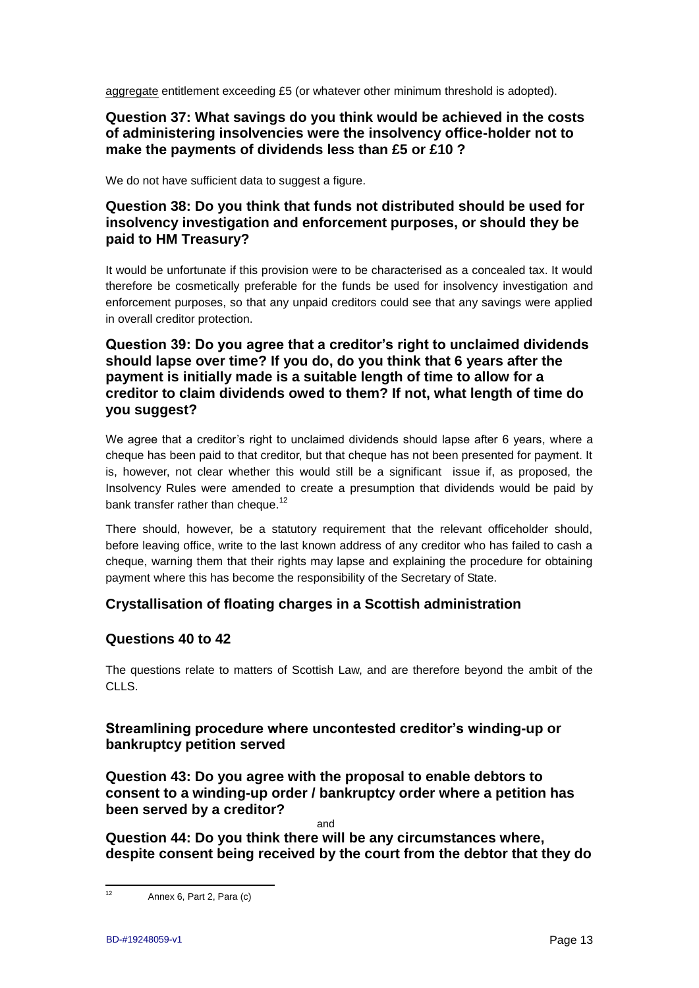aggregate entitlement exceeding £5 (or whatever other minimum threshold is adopted).

#### **Question 37: What savings do you think would be achieved in the costs of administering insolvencies were the insolvency office-holder not to make the payments of dividends less than £5 or £10 ?**

We do not have sufficient data to suggest a figure.

## **Question 38: Do you think that funds not distributed should be used for insolvency investigation and enforcement purposes, or should they be paid to HM Treasury?**

It would be unfortunate if this provision were to be characterised as a concealed tax. It would therefore be cosmetically preferable for the funds be used for insolvency investigation and enforcement purposes, so that any unpaid creditors could see that any savings were applied in overall creditor protection.

## **Question 39: Do you agree that a creditor's right to unclaimed dividends should lapse over time? If you do, do you think that 6 years after the payment is initially made is a suitable length of time to allow for a creditor to claim dividends owed to them? If not, what length of time do you suggest?**

We agree that a creditor's right to unclaimed dividends should lapse after 6 years, where a cheque has been paid to that creditor, but that cheque has not been presented for payment. It is, however, not clear whether this would still be a significant issue if, as proposed, the Insolvency Rules were amended to create a presumption that dividends would be paid by bank transfer rather than cheque.<sup>12</sup>

There should, however, be a statutory requirement that the relevant officeholder should, before leaving office, write to the last known address of any creditor who has failed to cash a cheque, warning them that their rights may lapse and explaining the procedure for obtaining payment where this has become the responsibility of the Secretary of State.

## **Crystallisation of floating charges in a Scottish administration**

#### **Questions 40 to 42**

The questions relate to matters of Scottish Law, and are therefore beyond the ambit of the CLLS.

## **Streamlining procedure where uncontested creditor's winding-up or bankruptcy petition served**

**Question 43: Do you agree with the proposal to enable debtors to consent to a winding-up order / bankruptcy order where a petition has been served by a creditor?**

and

**Question 44: Do you think there will be any circumstances where, despite consent being received by the court from the debtor that they do** 

 $12<sup>12</sup>$ Annex 6, Part 2, Para (c)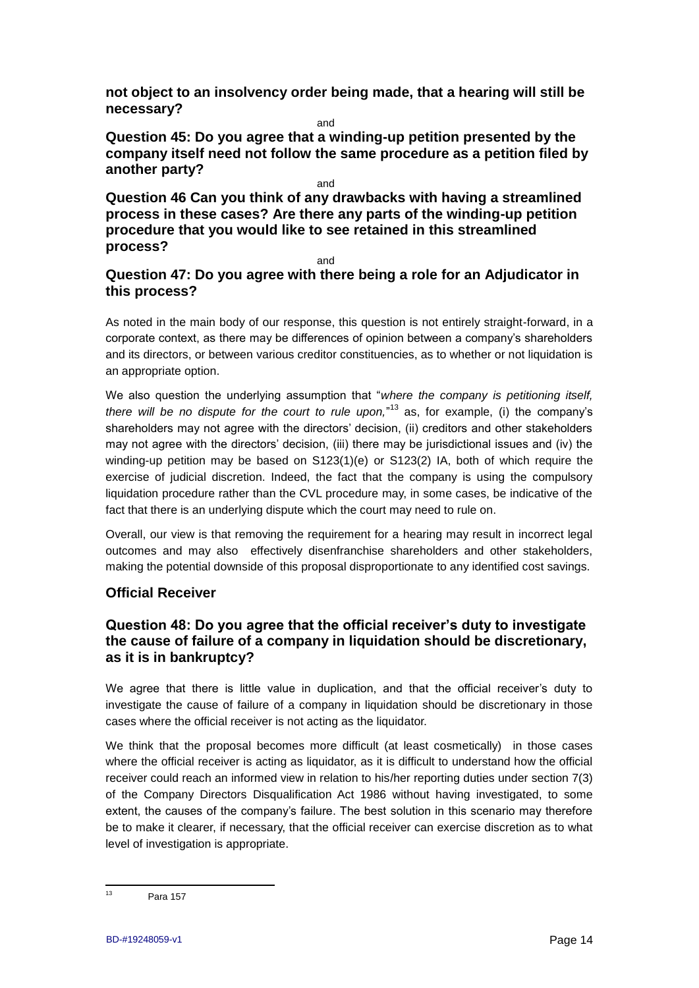**not object to an insolvency order being made, that a hearing will still be necessary?**

and

**Question 45: Do you agree that a winding-up petition presented by the company itself need not follow the same procedure as a petition filed by another party?**

and

**Question 46 Can you think of any drawbacks with having a streamlined process in these cases? Are there any parts of the winding-up petition procedure that you would like to see retained in this streamlined process?**

and

# **Question 47: Do you agree with there being a role for an Adjudicator in this process?**

As noted in the main body of our response, this question is not entirely straight-forward, in a corporate context, as there may be differences of opinion between a company's shareholders and its directors, or between various creditor constituencies, as to whether or not liquidation is an appropriate option.

We also question the underlying assumption that "*where the company is petitioning itself, there will be no dispute for the court to rule upon,*" <sup>13</sup> as, for example, (i) the company's shareholders may not agree with the directors' decision, (ii) creditors and other stakeholders may not agree with the directors' decision, (iii) there may be jurisdictional issues and (iv) the winding-up petition may be based on S123(1)(e) or S123(2) IA, both of which require the exercise of judicial discretion. Indeed, the fact that the company is using the compulsory liquidation procedure rather than the CVL procedure may, in some cases, be indicative of the fact that there is an underlying dispute which the court may need to rule on.

Overall, our view is that removing the requirement for a hearing may result in incorrect legal outcomes and may also effectively disenfranchise shareholders and other stakeholders, making the potential downside of this proposal disproportionate to any identified cost savings.

# **Official Receiver**

## **Question 48: Do you agree that the official receiver's duty to investigate the cause of failure of a company in liquidation should be discretionary, as it is in bankruptcy?**

We agree that there is little value in duplication, and that the official receiver's duty to investigate the cause of failure of a company in liquidation should be discretionary in those cases where the official receiver is not acting as the liquidator.

We think that the proposal becomes more difficult (at least cosmetically) in those cases where the official receiver is acting as liquidator, as it is difficult to understand how the official receiver could reach an informed view in relation to his/her reporting duties under section 7(3) of the Company Directors Disqualification Act 1986 without having investigated, to some extent, the causes of the company's failure. The best solution in this scenario may therefore be to make it clearer, if necessary, that the official receiver can exercise discretion as to what level of investigation is appropriate.

 $13<sup>13</sup>$ Para 157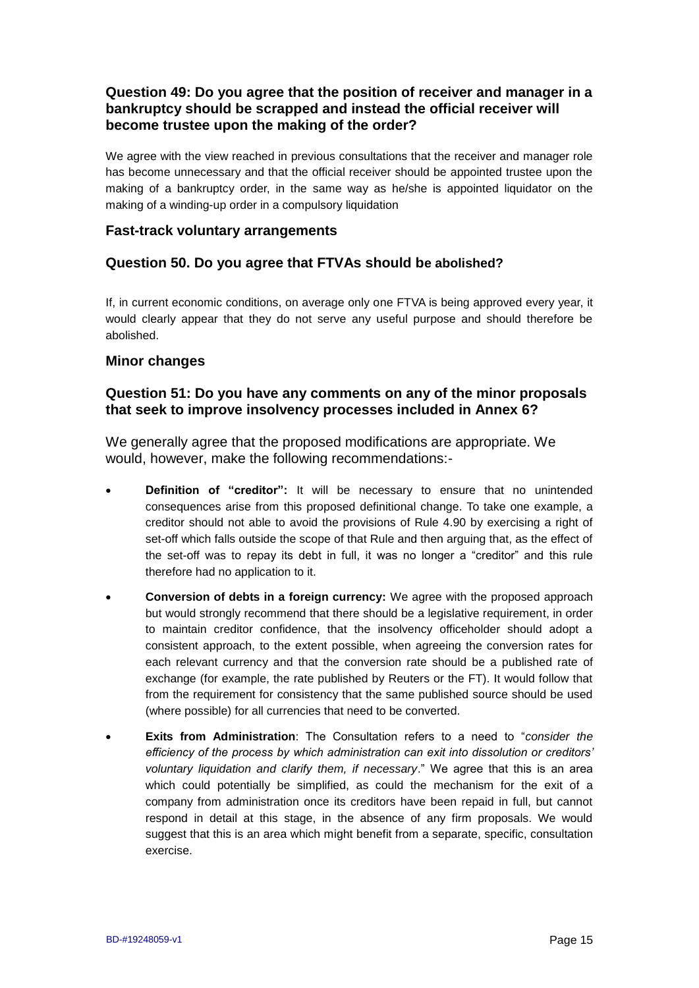## **Question 49: Do you agree that the position of receiver and manager in a bankruptcy should be scrapped and instead the official receiver will become trustee upon the making of the order?**

We agree with the view reached in previous consultations that the receiver and manager role has become unnecessary and that the official receiver should be appointed trustee upon the making of a bankruptcy order, in the same way as he/she is appointed liquidator on the making of a winding-up order in a compulsory liquidation

#### **Fast-track voluntary arrangements**

#### **Question 50. Do you agree that FTVAs should be abolished?**

If, in current economic conditions, on average only one FTVA is being approved every year, it would clearly appear that they do not serve any useful purpose and should therefore be abolished.

#### **Minor changes**

#### **Question 51: Do you have any comments on any of the minor proposals that seek to improve insolvency processes included in Annex 6?**

We generally agree that the proposed modifications are appropriate. We would, however, make the following recommendations:-

- **Definition of "creditor":** It will be necessary to ensure that no unintended consequences arise from this proposed definitional change. To take one example, a creditor should not able to avoid the provisions of Rule 4.90 by exercising a right of set-off which falls outside the scope of that Rule and then arguing that, as the effect of the set-off was to repay its debt in full, it was no longer a "creditor" and this rule therefore had no application to it.
- **Conversion of debts in a foreign currency:** We agree with the proposed approach but would strongly recommend that there should be a legislative requirement, in order to maintain creditor confidence, that the insolvency officeholder should adopt a consistent approach, to the extent possible, when agreeing the conversion rates for each relevant currency and that the conversion rate should be a published rate of exchange (for example, the rate published by Reuters or the FT). It would follow that from the requirement for consistency that the same published source should be used (where possible) for all currencies that need to be converted.
- **Exits from Administration**: The Consultation refers to a need to "*consider the efficiency of the process by which administration can exit into dissolution or creditors' voluntary liquidation and clarify them, if necessary*." We agree that this is an area which could potentially be simplified, as could the mechanism for the exit of a company from administration once its creditors have been repaid in full, but cannot respond in detail at this stage, in the absence of any firm proposals. We would suggest that this is an area which might benefit from a separate, specific, consultation exercise.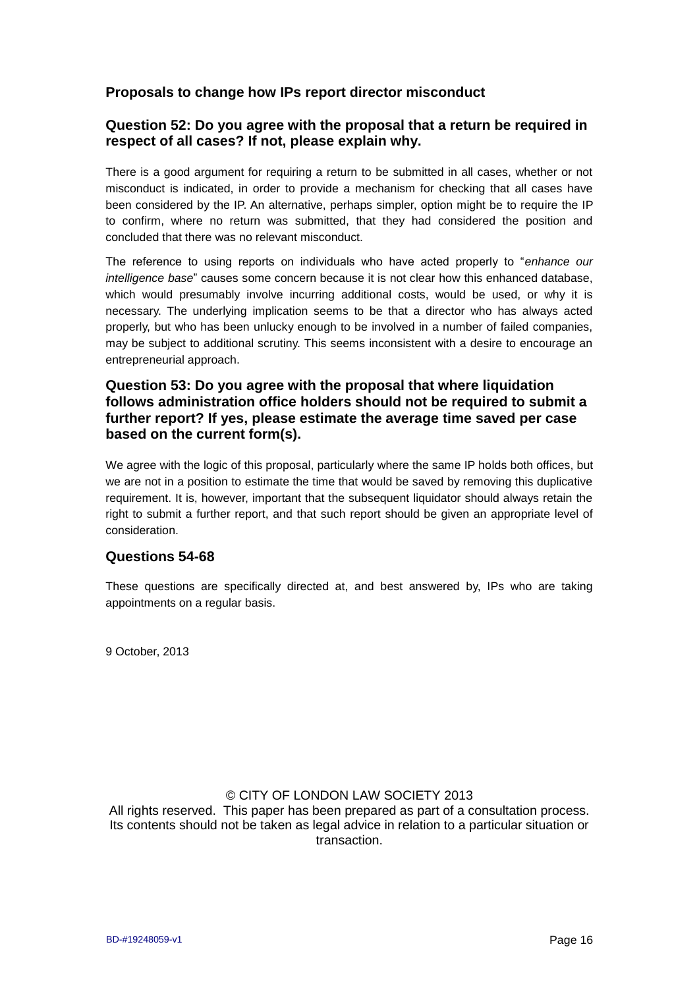#### **Proposals to change how IPs report director misconduct**

#### **Question 52: Do you agree with the proposal that a return be required in respect of all cases? If not, please explain why.**

There is a good argument for requiring a return to be submitted in all cases, whether or not misconduct is indicated, in order to provide a mechanism for checking that all cases have been considered by the IP. An alternative, perhaps simpler, option might be to require the IP to confirm, where no return was submitted, that they had considered the position and concluded that there was no relevant misconduct.

The reference to using reports on individuals who have acted properly to "*enhance our intelligence base*" causes some concern because it is not clear how this enhanced database, which would presumably involve incurring additional costs, would be used, or why it is necessary. The underlying implication seems to be that a director who has always acted properly, but who has been unlucky enough to be involved in a number of failed companies, may be subject to additional scrutiny. This seems inconsistent with a desire to encourage an entrepreneurial approach.

#### **Question 53: Do you agree with the proposal that where liquidation follows administration office holders should not be required to submit a further report? If yes, please estimate the average time saved per case based on the current form(s).**

We agree with the logic of this proposal, particularly where the same IP holds both offices, but we are not in a position to estimate the time that would be saved by removing this duplicative requirement. It is, however, important that the subsequent liquidator should always retain the right to submit a further report, and that such report should be given an appropriate level of consideration.

#### **Questions 54-68**

These questions are specifically directed at, and best answered by, IPs who are taking appointments on a regular basis.

9 October, 2013

## © CITY OF LONDON LAW SOCIETY 2013

All rights reserved. This paper has been prepared as part of a consultation process. Its contents should not be taken as legal advice in relation to a particular situation or transaction.